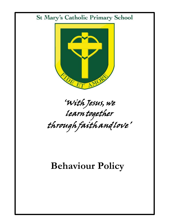## **St Mary's Catholic Primary School**



'With Jesus, we learntogether through faith and love'

# **Behaviour Policy**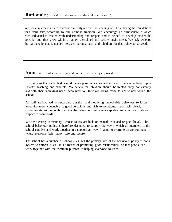We seek to create an environment that truly reflects the teaching of Christ, laying the foundations for a living faith, according to our Catholic tradition. We encourage an atmosphere in which each individual is treated with understanding and respect and is helped to develop his/her full potential and thus grow within a happy, disciplined and secure environment. We acknowledge the partnership that is needed between parents, staff and children for this policy to succeed.

**Aims** (What skills, knowledge and understand the subject provides):

It is our aim that each child should develop moral values and a code of behaviour based upon Christ's teaching and example. We believe that children should be treated fairly, consistently and with their individual needs accounted for, therefore being made to feel valued within the school.

All staff are involved in rewarding positive, and modifying undesirable behaviour to foster an environment conducive to good behaviour and high expectations. Staff will clearly communicate to the pupils that it is the behaviour that is unacceptable and continue to show respect to individuals.

We are a caring community, whose values are built on mutual trust and respect for all. The school behaviour policy is therefore designed to support the way in which all members of the school can live and work together in a supportive way. It aims to promote an environment where everyone feels happy, safe and secure.

The school has a number of school rules, but the primary aim of the behaviour policy is not a system to enforce rules. It is a means of promoting good relationships, so that people can work together with the common purpose of helping everyone to learn.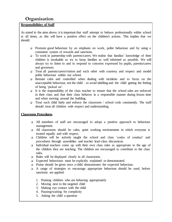## **Organisation**

#### **Responsibilities of Staff**

As stated in the aims above, it is important that staff attempt to behave professionally within school at all times, as this will have a positive effect on the children's actions. This implies that we should:

- Promote good behaviour by an emphasis on work, polite behaviour and by using a consistent system of rewards and sanctions.
- To work in partnership with parents/carers. We realise that families' knowledge of their children is invaluable so try to keep families as well informed as possible. We will always try to listen to and to respond to concerns expressed by pupils, parents/carers and governors.
- Treat all parents/carers/visitors and each other with courtesy and respect and model polite behaviour within our school.
- Remain calm and controlled when dealing with incidents and to focus on the unacceptable behaviour, not the child – to avoid labelling and the child getting the feeling of being 'picked on'.
- It is the responsibility of the class teacher to ensure that the school rules are enforced in their class and that their class behaves in a responsible manner during lesson time and when moving around the building.
- Treat each child fairly and enforce the classroom  $/$  school code consistently. The staff should treat all children with respect and understanding.

#### **Classroom Procedures**

- All members of staff are encouraged to adopt a positive approach to behaviour management.
- All classrooms should be calm, quiet working environments in which everyone is treated equally and with respect.
- Children will be actively taught the school and class 'codes of conduct' and procedures through assemblies and teacher lead-class discussions.
- Individual teachers come up with their own class rules as appropriate to the age of the children they are teaching. The children are encouraged to contribute to the class rules.
- Rules will be displayed clearly in all classrooms.
- Expected behaviours must be explicitly explained or demonstrated.
- □ Praise should be given once a child demonstrates the expected behaviour.
- A range of strategies to encourage appropriate behaviour should be used, before sanctions are applied:
	- 1. Praising children who are behaving appropriately
	- 2. Moving next to the targeted child
	- 3. Making eye contact with the child
	- 4. Pausing/waiting for complicity
	- 5. Asking the child a question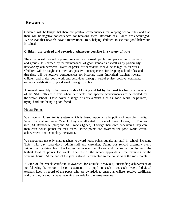## **Rewards**

Children will be taught that there are positive consequences for keeping school rules and that there will be negative consequences for breaking them. Rewards of all kinds are encouraged. We believe that rewards have a motivational role, helping children to see that good behaviour is valued.

#### **Children are praised and rewarded whenever possible in a variety of ways:**

The commonest reward is praise, informal and formal, public and private, to individuals and groups. It is earned by the maintenance of good standards as well as by particularly noteworthy achievements. Rates of praise for behaviour should be as high as for work. Children will be taught that there are positive consequences for keeping school rules and that there will be negative consequences for breaking them. Individual teachers reward children and praise good work and behaviour through; verbal praise, positive comments on work, celebration of good work through display.

A reward assembly is held every Friday Morning and led by the head teacher or a member of the SMT. This is a time where certificates and specific achievements are celebrated by the whole school. These cover a range of achievements such as good work, helpfulness, trying hard and being a good friend.

#### **House Points**

We have a House Points system which is based upon a daily policy of awarding merits. When the children enter Year 1, they are allocated to one of three Houses; St. Thomas (red), St. Bernadette (blue) and St. Francis (green). Through their own endeavours they can then earn house points for their team. House points are awarded for good work, effort, achievement and exemplary behaviour.

We encourage not only class teachers to award house points but also all staff in school, including T.As, mid day supervisors, admin staff and caretaker. During our reward assembly every Friday, the captains from the Houses announce the House and names of pupils- with the highest total of points for week. The rest of the school applauds all the members of the winning house. At the end of the year a shield is presented to the house with the most points.

A Star of the Week certificate is awarded for attitude, behaviour, outstanding achievement or for following the school mission statement; to a pupil in each class each week. Individual teachers keep a record of the pupils who are awarded, to ensure all children receive certificates and that they are not always receiving awards for the same reasons.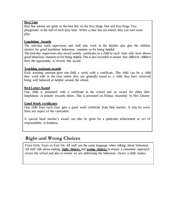#### **Best Line**

Best line tokens are given to the best line on the Key Stage One and Key Stage Two playground at the end of each play time. When a class has ten tokens they can earn extra play.

#### **Lunchtime Awards**

The mid-day meal supervisors and staff who work in the kitchen also give the children stickers for good lunchtime behaviour, manners or for being helpful.

The mid-day supervisors also award weekly certificates to a child in each class who have shown good behaviour, manners or for being helpful. Thisis also recorded to ensure that different children have the opportunity to receive this award.

#### **Teaching assistant awards**

Each teaching assistant gives one child a week with a certificate. This child can be a child they work with in the class where they are generally based or a child they have observed being well behaved or helpful around the school.

#### **Red Letter Award**

One child is presented with a certificate in the school and an award for either their helpfulness or attitude towards others. This is presented on Fridays Assembly by Mrs Taberer

#### **Good Work certificates**

One child from each class gets a good work certificate from their teacher. It may be work from any aspect of the curriculum.

A special head teacher's award can also be given for a particular achievement or act of responsibility or kindness.

## **Right and Wrong Choices**

From Early Years to Year Six All staff use the same language when talking about behaviour. All staff talk about making **right choices** and **wrong choices** to ensure a consistent approach across the school and also to ensure we are addressing the behaviour choice a child makes.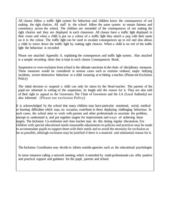All classes follow a traffic light system for behaviour and children know the consequences of not making the right choices. All staff in the school follow the same system to ensure fairness and consistency across the school. The children are reminded of the consequences of not making the right choices and they are displayed in each classroom. All classes have a traffic light displayed in their room and when a child is put on a colour of a traffic light they attach a peg with their name on it to the colour. The traffic light can be used to escalate consequences up to red and also allows a child to move down the traffic light by making right choices. When a child is on red of the traffic light the behaviour is recorded

Please see attached Appendix A. explaining the consequences and traffic light system. Also attached is a sample recording sheet that is kept in each classes Consequences Book.

Suspension or even exclusion from school is the ultimate sanctions in the chain of disciplinary measures. These measures would be considered in serious cases such as extreme violence, major bullying incidents, severe destructive behaviour or a child swearing at or hitting a teacher. (Please see Exclusion Policy)

The initial decision to suspend a child can only be taken by the Head teacher. The parents of the pupil are informed in writing of the suspension, its length and the reason for it. They are also told of their right to appeal to the Governors. The Chair of Governors and the LA (Local Authority) are also informed. (Please see exclusion Policy)

It is acknowledged by the school that many children may have particular emotional, social, medical or learning difficulties which may, on occasion, contribute to them displaying challenging behaviour. In such cases, the school aims to work with parents and other professionals to ascertain the problem, attempt to understand it, and put together targets for improvement and ways of achieving these targets. The Inclusion Co-ordinator and class teacher may do this during regular discussions. For children with special educational needs reasonable adjustments to policies and practices may be made to accommodate pupils to support them with their needs and to avoid the necessity for exclusion as far as possible, although exclusion may be justified if there is a material and substantial reason for it.

The Inclusion Coordinator may decide to inform outside agencies such as the educational psychologist.

In some instances calling a network meeting, which is attended by multi-professionals can offer positive and practical support and guidance for the pupil, parents and school.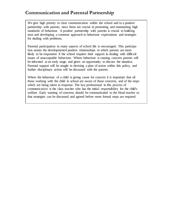### **Communication and Parental Partnership**

We give high priority to clear communication within the school and to a positive partnership with parents, since these are crucial in promoting and maintaining high standards of behaviour. A positive partnership with parents is crucial to building trust and developing a common approach to behaviour expectations and strategies for dealing with problems.

Parental participation in many aspects of school life is encouraged. This participation assists the developmentof positive relationships in which parents are more likely to be responsive if the school requires their support in dealing with difficult issues of unacceptable behaviour. Where behaviour is causing concern parents will be informed at an early stage, and given an opportunity to discuss the situation. Parental support will be sought in devising a plan of action within this policy, and further disciplinary action will be discussed with the parents

Where the behaviour of a child is giving cause for concern it is important that all those working with the child in school are aware of those concerns, and of the steps which are being taken in response. The key professional in this process of communication is the class teacher who has the initial responsibility for the child's welfare. Early warning of concerns should be communicated to the Head teacher so that strategies can be discussed and agreed before more formal steps are required.